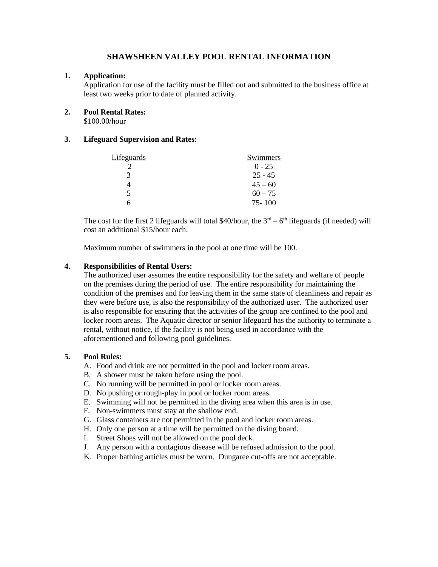# **SHAWSHEEN VALLEY POOL RENTAL INFORMATION**

## **1. Application:**

Application for use of the facility must be filled out and submitted to the business office at least two weeks prior to date of planned activity.

# **2. Pool Rental Rates:**

\$100.00/hour

# **3. Lifeguard Supervision and Rates:**

| Lifeguards               | Swimmers   |
|--------------------------|------------|
|                          | $0 - 25$   |
| 3                        | $25 - 45$  |
|                          | $45 - 60$  |
| $\overline{\phantom{1}}$ | $60 - 75$  |
|                          | $75 - 100$ |

The cost for the first 2 lifeguards will total \$40/hour, the  $3<sup>rd</sup> - 6<sup>th</sup>$  lifeguards (if needed) will cost an additional \$15/hour each.

Maximum number of swimmers in the pool at one time will be 100.

## **4. Responsibilities of Rental Users:**

The authorized user assumes the entire responsibility for the safety and welfare of people on the premises during the period of use. The entire responsibility for maintaining the condition of the premises and for leaving them in the same state of cleanliness and repair as they were before use, is also the responsibility of the authorized user. The authorized user is also responsible for ensuring that the activities of the group are confined to the pool and locker room areas. The Aquatic director or senior lifeguard has the authority to terminate a rental, without notice, if the facility is not being used in accordance with the aforementioned and following pool guidelines.

## **5. Pool Rules:**

- A. Food and drink are not permitted in the pool and locker room areas.
- B. A shower must be taken before using the pool.
- C. No running will be permitted in pool or locker room areas.
- D. No pushing or rough-play in pool or locker room areas.
- E. Swimming will not be permitted in the diving area when this area is in use.
- F. Non-swimmers must stay at the shallow end.
- G. Glass containers are not permitted in the pool and locker room areas.
- H. Only one person at a time will be permitted on the diving board.
- I. Street Shoes will not be allowed on the pool deck.
- J. Any person with a contagious disease will be refused admission to the pool.
- K. Proper bathing articles must be worn. Dungaree cut-offs are not acceptable.